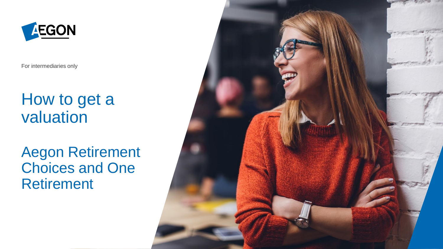

For intermediaries only

## How to get a valuation

### Aegon Retirement Choices and One Retirement

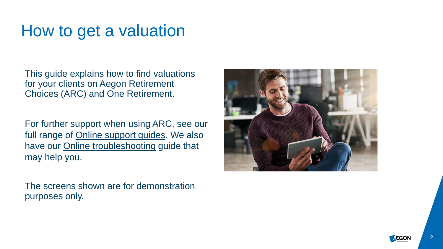## How to get a valuation

This guide explains how to find valuations for your clients on Aegon Retirement Choices (ARC) and One Retirement.

For further support when using ARC, see our full range of [Online support guides](https://www.aegon.co.uk/advisers/arc-or-guides.html). We also have our **Online troubleshooting guide that** may help you.

The screens shown are for demonstration purposes only.



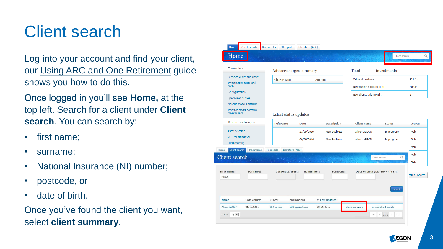## Client search

Log into your account and find your client, our [Using ARC and One Retirement](https://www.aegon.co.uk/content/dam/ukpaw/documents/ARC-OR-adviser-login.pdf) guide shows you how to do this.

Once logged in you'll see **Home,** at the top left. Search for a client under **Client search**. You can search by:

- first name;
- surname;
- National Insurance (NI) number;
- postcode, or
- date of birth.

Once you've found the client you want, select **client summary**.

| Home<br>Client search<br><b>Documents</b>                         | MI reports                                  | Literature (ARC) |                              |                                                     |                             |                   |
|-------------------------------------------------------------------|---------------------------------------------|------------------|------------------------------|-----------------------------------------------------|-----------------------------|-------------------|
| Home                                                              |                                             |                  |                              |                                                     | Client search               | Q                 |
| <b>Transactions</b>                                               | Adviser charges summary                     |                  |                              | Total                                               | investments                 |                   |
| Pensions quote and apply<br>Investments quote and<br>apply        | <b>Charge type</b>                          | <b>Amount</b>    |                              | Value of holdings:                                  |                             | £11.25            |
| Re-registration<br><b>Specialised quotes</b>                      |                                             |                  |                              | New business this month:<br>New clients this month: |                             | £0.00<br>1        |
| Manage model portfolios<br>Investor model portfolio               |                                             |                  |                              |                                                     |                             |                   |
| maintenance<br>Research and analysis                              | Latest status updates<br><b>Reference</b>   | <b>Date</b>      | <b>Description</b>           | <b>Client name</b>                                  | <b>Status</b>               | <b>Source</b>     |
| Asset selector                                                    |                                             | 21/09/2019       | <b>New Business</b>          | <b>Alison AEGON</b>                                 | In progress                 | Web               |
| CGT reporting tool<br>Fund charting                               |                                             | 09/09/2019       | <b>New Business</b>          | <b>Alison AEGON</b>                                 | In progress                 | Web               |
| Client search<br><b>Documents</b><br>Home<br><b>Client</b> search | Literature (ARC)<br>MI reports              |                  |                              |                                                     | Q<br>Client search          | Web<br>Web<br>Web |
| <b>First name:</b><br>Surname:<br>Alison                          | Corporate/trust:                            | NI number:       | Postcode:                    |                                                     | Date of birth (DD/MM/YYYY): | tatus updates     |
|                                                                   |                                             |                  |                              |                                                     | <b>Search</b>               |                   |
| <b>Name</b><br>Date of birth<br><b>Alison AEGON</b><br>21/10/1951 | Quotes<br><b>Applications</b><br>653 quotes | 688 applications | ▼ Last updated<br>30/09/2019 | client summary                                      | amend client details        |                   |
| $All$ $\vee$<br>Show                                              |                                             |                  |                              |                                                     | $<$ 1/1 ><br>><br>$<<$      |                   |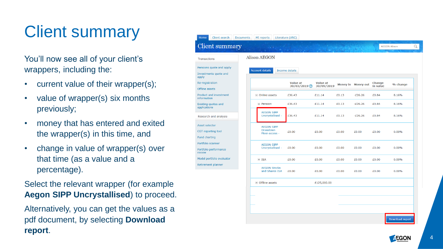# Client summary

You'll now see all of your client's wrappers, including the:

• current value of their wrapper(s);

Client

Transactions Pensions quo **Investments** apply Re-registrati Offline asset Product and information **Existing quot** applications Research an Asset selecto CGT reportir **Fund chartin** Portfolio scar Portfolio perf review Model portfo Retirement p

- value of wrapper(s) six months previously;
- money that has entered and exited the wrapper(s) in this time, and
- change in value of wrapper(s) over that time (as a value and a percentage).

Select the relevant wrapper (for example **Aegon SIPP Uncrystallised**) to proceed.

Alternatively, you can get the values as a pdf document, by selecting **Download report** .

| <b>Client summary</b>                              |                                                        |                                  |                               |       |                    |                           |          |
|----------------------------------------------------|--------------------------------------------------------|----------------------------------|-------------------------------|-------|--------------------|---------------------------|----------|
| Transactions                                       | <b>Alison AEGON</b>                                    |                                  |                               |       |                    |                           |          |
| ensions quote and apply<br>nvestments quote and    | <b>Account details</b>                                 | Income details                   |                               |       |                    |                           |          |
| le-registration<br><b>offline</b> assets           |                                                        | <b>Value at</b><br>30/03/2019(2) | <b>Value at</b><br>30/09/2019 |       | Money in Money out | <b>Change</b><br>in value | % change |
| roduct and investment<br><b>nformation</b>         | $\equiv$ Online assets                                 | £36.43                           | £11.14                        | £0.13 | $-E26.26$          | £0.84                     | 8.16%    |
| xisting quotes and<br>pplications                  | $\equiv$ Pension                                       | £36.43                           | £11.14                        | £0.13 | $-E26.26$          | £0.84                     | 8.16%    |
| Research and analysis                              | <b>AEGON SIPP</b><br>Uncrystallised -                  | £36.43                           | £11.14                        | £0.13 | $-E26.26$          | £0.84                     | 8.16%    |
| sset selector<br>GT reporting tool<br>und charting | <b>AEGON SIPP</b><br><b>Drawdown</b><br>Flexi-access - | £0.00                            | £0.00                         | £0.00 | £0.00              | £0.00                     | 0.00%    |
| ortfolio scanner<br>ortfolio performance<br>eview  | <b>AEGON SIPP</b><br>Uncrystallised -                  | £0.00                            | £0.00                         | £0.00 | £0.00              | £0.00                     | 0.00%    |
| lodel portfolio evaluator                          | $\equiv$ ISA                                           | £0.00                            | £0.00                         | £0.00 | £0.00              | £0.00                     | 0.00%    |
| etirement planner                                  | <b>AEGON Stocks</b><br>and Shares ISA                  | £0.00                            | £0.00                         | £0.00 | £0.00              | £0.00                     | 0.00%    |
|                                                    | $\Box$ Offline assets                                  |                                  | £125,000.00                   |       |                    |                           |          |
|                                                    |                                                        |                                  |                               |       |                    |                           |          |
|                                                    |                                                        |                                  |                               |       |                    |                           |          |
|                                                    |                                                        |                                  |                               |       |                    |                           |          |

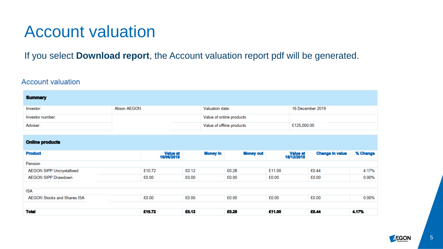## Account valuation

If you select **Download report**, the Account valuation report pdf will be generated.

### **Account valuation**

| <b>Summary</b>                     |                     |                        |       |                           |                  |        |                        |                        |          |
|------------------------------------|---------------------|------------------------|-------|---------------------------|------------------|--------|------------------------|------------------------|----------|
| Investor:                          | <b>Alison AEGON</b> |                        |       | Valuation date:           |                  |        | 16 December 2019       |                        |          |
| Investor number:                   |                     |                        |       | Value of online products  |                  |        |                        |                        |          |
| Adviser:                           |                     |                        |       | Value of offline products |                  |        | £125,000.00            |                        |          |
|                                    |                     |                        |       |                           |                  |        |                        |                        |          |
| <b>Online products</b>             |                     |                        |       |                           |                  |        |                        |                        |          |
| <b>Product</b>                     |                     | Value at<br>16/06/2019 |       | <b>Money In</b>           | <b>Money out</b> |        | Value at<br>16/12/2019 | <b>Change In value</b> | % Change |
| Pension                            |                     |                        |       |                           |                  |        |                        |                        |          |
| <b>AEGON SIPP Uncrystallised</b>   |                     | £10.72                 | £0.12 |                           | £0.28            | £11.00 |                        | £0.44                  | 4.17%    |
| <b>AEGON SIPP Drawdown</b>         |                     | £0.00                  | £0.00 |                           | £0.00            | £0.00  |                        | £0.00                  | 0.00%    |
| <b>ISA</b>                         |                     |                        |       |                           |                  |        |                        |                        |          |
| <b>AEGON Stocks and Shares ISA</b> |                     | £0.00                  | £0.00 |                           | £0.00            | £0.00  |                        | £0.00                  | 0.00%    |
|                                    |                     |                        |       |                           |                  |        |                        |                        |          |
| <b>Total</b>                       |                     | £10.72                 | £0.12 |                           | £0.28            | £11.00 |                        | £0.44                  | 4.17%    |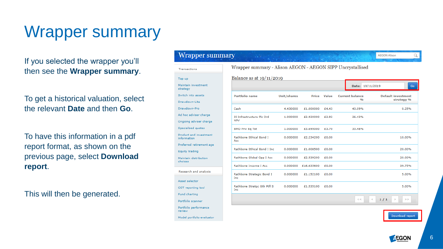## Wrapper summary

If you selected the wrapper you'll then see the **Wrapper summary**.

To get a historical valuation, select the relevant **Date** and then **Go**.

To have this information in a pdf report format, as shown on the previous page, select **Download report**.

This will then be generated.

#### Wrapper summary

| Transactions                               | Wrapper summary - Alison AEGON - AEGON SIPP Uncrystallised |             |              |       |                               |  |  |
|--------------------------------------------|------------------------------------------------------------|-------------|--------------|-------|-------------------------------|--|--|
| Top up                                     | Balance as at $19/11/2019$                                 |             |              |       |                               |  |  |
| Maintain investment<br>strategy            |                                                            |             |              |       | Date: 19/11/20:               |  |  |
| Switch into assets                         | <b>Portfolio name</b>                                      | Unit/shares | <b>Price</b> | Value | <b>Current balance</b><br>0/6 |  |  |
| Drawdown-Lite                              |                                                            |             |              |       |                               |  |  |
| Drawdown-Pro                               | Cash                                                       | 4.430000    | £1,000000    | £4.43 | 40.09%                        |  |  |
| Ad hoc adviser charge                      | 3I Infrastructure Plc Ord                                  | 1.000000    | £2,920000    | £2.92 | 26.43%                        |  |  |
| Ongoing adviser charge                     | <b>NPV</b>                                                 |             |              |       |                               |  |  |
| Specialised quotes                         | <b>BMO Priv Eq Tst</b>                                     | 1.000000    | £3,695000    | £3.70 | 33.48%                        |  |  |
| Product and investment<br>information      | Rathbone Ethical Bond I<br>Acc                             | 0.000000    | £2,234200    | £0.00 |                               |  |  |
| Preferred retirement age<br>Equity trading | Rathbone Ethical Bond I Inc.                               | 0.000000    | £1,008500    | £0.00 |                               |  |  |
| Maintain distribution<br>choices           | Rathbone Global Opp I Acc                                  | 0.000000    | £2,539200    | £0.00 |                               |  |  |
|                                            | Rathbone Income I Acc.                                     | 0.000000    | £16,635600   | £0.00 |                               |  |  |
| Research and analysis                      | Rathbone Strategic Bond I<br>Inc                           | 0.000000    | £1,152100    | £0.00 |                               |  |  |
| Asset selector<br>CGT reporting tool       | Rathbone Stratgc Gth Ptfl S<br>Inc                         | 0.000000    | £1,535100    | £0.00 |                               |  |  |
| Fund charting                              |                                                            |             |              |       | ×.<br><<                      |  |  |
| Portfolio scanner                          |                                                            |             |              |       |                               |  |  |
| Portfolio performance<br>review            |                                                            |             |              |       |                               |  |  |
| Model portfolio evaluator                  |                                                            |             |              |       |                               |  |  |

 $1/1$  >

**AEGON Alison** 

**Default investment** strategy % Q

Go

0.25%

10.00%

20.00%

20.00%

39.75%

5.00%

5.00%

 $\Rightarrow$ 

Download report